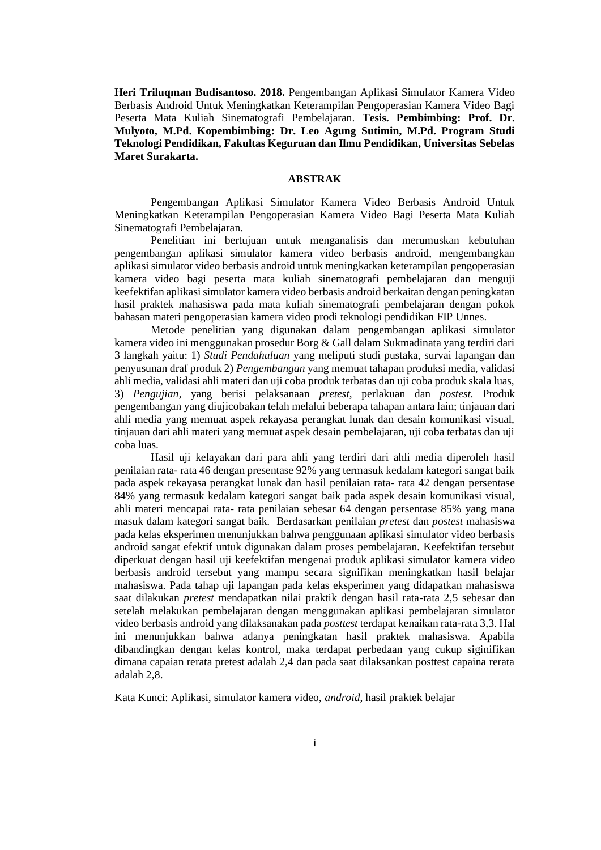**Heri Triluqman Budisantoso. 2018.** Pengembangan Aplikasi Simulator Kamera Video Berbasis Android Untuk Meningkatkan Keterampilan Pengoperasian Kamera Video Bagi Peserta Mata Kuliah Sinematografi Pembelajaran. **Tesis. Pembimbing: Prof. Dr. Mulyoto, M.Pd. Kopembimbing: Dr. Leo Agung Sutimin, M.Pd. Program Studi Teknologi Pendidikan, Fakultas Keguruan dan Ilmu Pendidikan, Universitas Sebelas Maret Surakarta.**

## **ABSTRAK**

Pengembangan Aplikasi Simulator Kamera Video Berbasis Android Untuk Meningkatkan Keterampilan Pengoperasian Kamera Video Bagi Peserta Mata Kuliah Sinematografi Pembelajaran.

Penelitian ini bertujuan untuk menganalisis dan merumuskan kebutuhan pengembangan aplikasi simulator kamera video berbasis android, mengembangkan aplikasi simulator video berbasis android untuk meningkatkan keterampilan pengoperasian kamera video bagi peserta mata kuliah sinematografi pembelajaran dan menguji keefektifan aplikasi simulator kamera video berbasis android berkaitan dengan peningkatan hasil praktek mahasiswa pada mata kuliah sinematografi pembelajaran dengan pokok bahasan materi pengoperasian kamera video prodi teknologi pendidikan FIP Unnes.

Metode penelitian yang digunakan dalam pengembangan aplikasi simulator kamera video ini menggunakan prosedur Borg & Gall dalam Sukmadinata yang terdiri dari 3 langkah yaitu: 1) *Studi Pendahuluan* yang meliputi studi pustaka, survai lapangan dan penyusunan draf produk 2) *Pengembangan* yang memuat tahapan produksi media, validasi ahli media, validasi ahli materi dan uji coba produk terbatas dan uji coba produk skala luas, 3) *Pengujian*, yang berisi pelaksanaan *pretest*, perlakuan dan *postest.* Produk pengembangan yang diujicobakan telah melalui beberapa tahapan antara lain; tinjauan dari ahli media yang memuat aspek rekayasa perangkat lunak dan desain komunikasi visual, tinjauan dari ahli materi yang memuat aspek desain pembelajaran, uji coba terbatas dan uji coba luas.

Hasil uji kelayakan dari para ahli yang terdiri dari ahli media diperoleh hasil penilaian rata- rata 46 dengan presentase 92% yang termasuk kedalam kategori sangat baik pada aspek rekayasa perangkat lunak dan hasil penilaian rata- rata 42 dengan persentase 84% yang termasuk kedalam kategori sangat baik pada aspek desain komunikasi visual, ahli materi mencapai rata- rata penilaian sebesar 64 dengan persentase 85% yang mana masuk dalam kategori sangat baik. Berdasarkan penilaian *pretest* dan *postest* mahasiswa pada kelas eksperimen menunjukkan bahwa penggunaan aplikasi simulator video berbasis android sangat efektif untuk digunakan dalam proses pembelajaran. Keefektifan tersebut diperkuat dengan hasil uji keefektifan mengenai produk aplikasi simulator kamera video berbasis android tersebut yang mampu secara signifikan meningkatkan hasil belajar mahasiswa. Pada tahap uji lapangan pada kelas eksperimen yang didapatkan mahasiswa saat dilakukan *pretest* mendapatkan nilai praktik dengan hasil rata-rata 2,5 sebesar dan setelah melakukan pembelajaran dengan menggunakan aplikasi pembelajaran simulator video berbasis android yang dilaksanakan pada *posttest* terdapat kenaikan rata-rata 3,3. Hal ini menunjukkan bahwa adanya peningkatan hasil praktek mahasiswa. Apabila dibandingkan dengan kelas kontrol, maka terdapat perbedaan yang cukup siginifikan dimana capaian rerata pretest adalah 2,4 dan pada saat dilaksankan posttest capaina rerata adalah 2,8.

Kata Kunci: Aplikasi, simulator kamera video, *android*, hasil praktek belajar